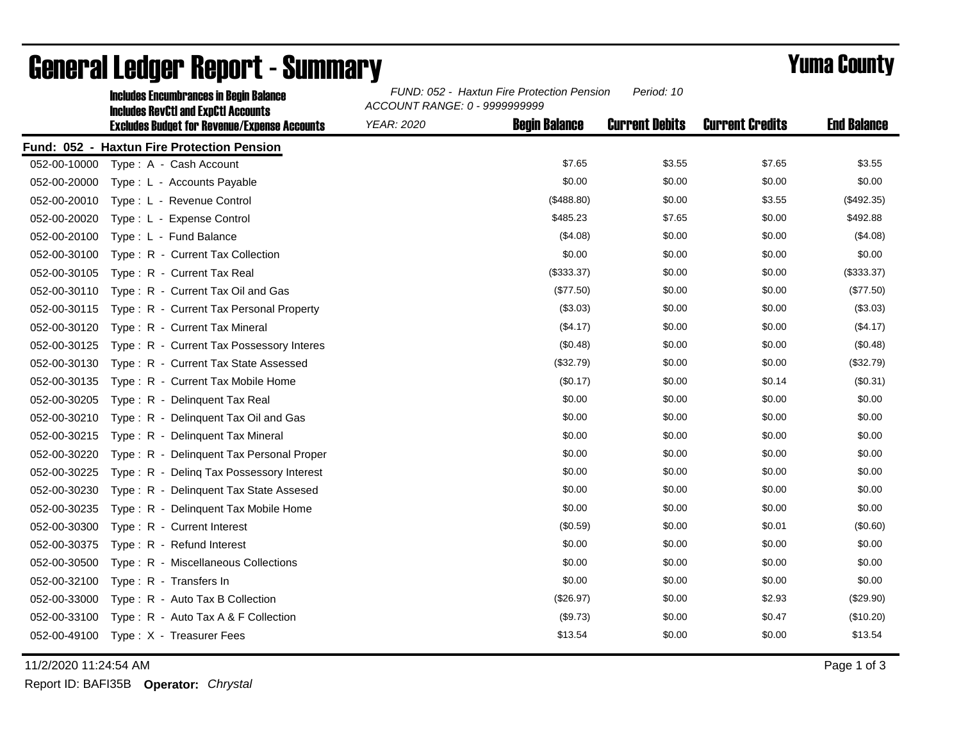|              | <b>Includes Encumbrances in Begin Balance</b><br><b>Includes RevCtI and ExpCtI Accounts</b> | FUND: 052 - Haxtun Fire Protection Pension<br>Period: 10<br>ACCOUNT RANGE: 0 - 9999999999 |                      |                       |                        |                    |
|--------------|---------------------------------------------------------------------------------------------|-------------------------------------------------------------------------------------------|----------------------|-----------------------|------------------------|--------------------|
|              | <b>Excludes Budget for Revenue/Expense Accounts</b>                                         | <b>YEAR: 2020</b>                                                                         | <b>Begin Balance</b> | <b>Current Debits</b> | <b>Current Credits</b> | <b>End Balance</b> |
|              | Fund: 052 - Haxtun Fire Protection Pension                                                  |                                                                                           |                      |                       |                        |                    |
|              | 052-00-10000 Type: A - Cash Account                                                         |                                                                                           | \$7.65               | \$3.55                | \$7.65                 | \$3.55             |
| 052-00-20000 | Type: L - Accounts Payable                                                                  |                                                                                           | \$0.00               | \$0.00                | \$0.00                 | \$0.00             |
| 052-00-20010 | Type: L - Revenue Control                                                                   |                                                                                           | (\$488.80)           | \$0.00                | \$3.55                 | (\$492.35)         |
| 052-00-20020 | Type: L - Expense Control                                                                   |                                                                                           | \$485.23             | \$7.65                | \$0.00                 | \$492.88           |
| 052-00-20100 | Type: L - Fund Balance                                                                      |                                                                                           | (\$4.08)             | \$0.00                | \$0.00                 | (\$4.08)           |
| 052-00-30100 | Type: R - Current Tax Collection                                                            |                                                                                           | \$0.00               | \$0.00                | \$0.00                 | \$0.00             |
| 052-00-30105 | Type: R - Current Tax Real                                                                  |                                                                                           | (\$333.37)           | \$0.00                | \$0.00                 | (\$333.37)         |
| 052-00-30110 | Type: R - Current Tax Oil and Gas                                                           |                                                                                           | (\$77.50)            | \$0.00                | \$0.00                 | (\$77.50)          |
| 052-00-30115 | Type: R - Current Tax Personal Property                                                     |                                                                                           | (\$3.03)             | \$0.00                | \$0.00                 | (\$3.03)           |
| 052-00-30120 | Type: R - Current Tax Mineral                                                               |                                                                                           | (\$4.17)             | \$0.00                | \$0.00                 | ( \$4.17)          |
| 052-00-30125 | Type: R - Current Tax Possessory Interes                                                    |                                                                                           | (\$0.48)             | \$0.00                | \$0.00                 | (\$0.48)           |
| 052-00-30130 | Type: R - Current Tax State Assessed                                                        |                                                                                           | (\$32.79)            | \$0.00                | \$0.00                 | (\$32.79)          |
| 052-00-30135 | Type: R - Current Tax Mobile Home                                                           |                                                                                           | (\$0.17)             | \$0.00                | \$0.14                 | (\$0.31)           |
| 052-00-30205 | Type: R - Delinquent Tax Real                                                               |                                                                                           | \$0.00               | \$0.00                | \$0.00                 | \$0.00             |
| 052-00-30210 | Type: R - Delinquent Tax Oil and Gas                                                        |                                                                                           | \$0.00               | \$0.00                | \$0.00                 | \$0.00             |
| 052-00-30215 | Type: R - Delinquent Tax Mineral                                                            |                                                                                           | \$0.00               | \$0.00                | \$0.00                 | \$0.00             |
| 052-00-30220 | Type: R - Delinquent Tax Personal Proper                                                    |                                                                                           | \$0.00               | \$0.00                | \$0.00                 | \$0.00             |
| 052-00-30225 | Type: R - Deling Tax Possessory Interest                                                    |                                                                                           | \$0.00               | \$0.00                | \$0.00                 | \$0.00             |
| 052-00-30230 | Type: R - Delinquent Tax State Assesed                                                      |                                                                                           | \$0.00               | \$0.00                | \$0.00                 | \$0.00             |
| 052-00-30235 | Type: R - Delinquent Tax Mobile Home                                                        |                                                                                           | \$0.00               | \$0.00                | \$0.00                 | \$0.00             |
| 052-00-30300 | Type: R - Current Interest                                                                  |                                                                                           | (\$0.59)             | \$0.00                | \$0.01                 | (\$0.60)           |
| 052-00-30375 | Type: R - Refund Interest                                                                   |                                                                                           | \$0.00               | \$0.00                | \$0.00                 | \$0.00             |
| 052-00-30500 | Type: R - Miscellaneous Collections                                                         |                                                                                           | \$0.00               | \$0.00                | \$0.00                 | \$0.00             |
| 052-00-32100 | Type: R - Transfers In                                                                      |                                                                                           | \$0.00               | \$0.00                | \$0.00                 | \$0.00             |
| 052-00-33000 | Type: R - Auto Tax B Collection                                                             |                                                                                           | (\$26.97)            | \$0.00                | \$2.93                 | (\$29.90)          |
| 052-00-33100 | Type: R - Auto Tax A & F Collection                                                         |                                                                                           | (\$9.73)             | \$0.00                | \$0.47                 | (\$10.20)          |
|              | 052-00-49100 Type: X - Treasurer Fees                                                       |                                                                                           | \$13.54              | \$0.00                | \$0.00                 | \$13.54            |

## General Ledger Report - Summary **Example 2018** Yuma County

11/2/2020 11:24:54 AM Page 1 of 3

Report ID: BAFI35B **Operator:** *Chrystal*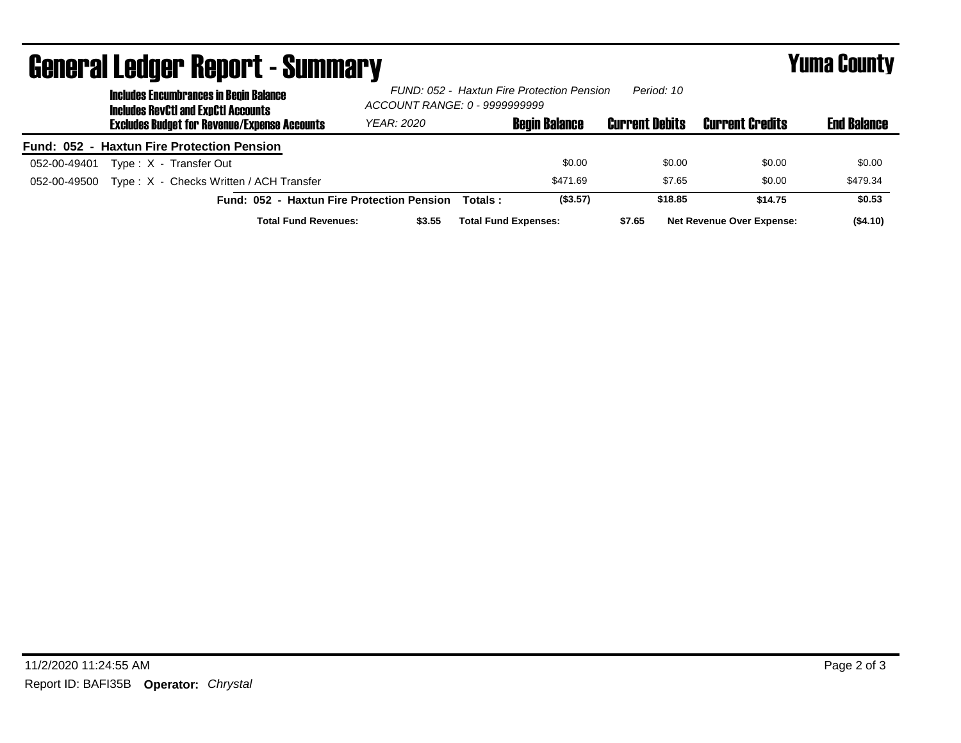| <b>General Ledger Report - Summary</b>     |                                                                                             |                   |                                                                                           |                      |                       | <b>Yuma County</b>               |                    |
|--------------------------------------------|---------------------------------------------------------------------------------------------|-------------------|-------------------------------------------------------------------------------------------|----------------------|-----------------------|----------------------------------|--------------------|
|                                            | <b>Includes Encumbrances in Begin Balance</b><br><b>Includes RevCtI and ExpCtI Accounts</b> |                   | Period: 10<br>FUND: 052 - Haxtun Fire Protection Pension<br>ACCOUNT RANGE: 0 - 9999999999 |                      |                       |                                  |                    |
|                                            | <b>Excludes Budget for Revenue/Expense Accounts</b>                                         | <b>YEAR: 2020</b> |                                                                                           | <b>Begin Balance</b> | <b>Current Debits</b> | <b>Current Credits</b>           | <b>End Balance</b> |
| Fund: 052 - Haxtun Fire Protection Pension |                                                                                             |                   |                                                                                           |                      |                       |                                  |                    |
| 052-00-49401                               | Type: X - Transfer Out                                                                      |                   |                                                                                           | \$0.00               | \$0.00                | \$0.00                           | \$0.00             |
| 052-00-49500                               | Type: X - Checks Written / ACH Transfer                                                     |                   |                                                                                           | \$471.69             | \$7.65                | \$0.00                           | \$479.34           |
|                                            | Fund: 052 - Haxtun Fire Protection Pension                                                  |                   | Totals:                                                                                   | (\$3.57)             | \$18.85               | \$14.75                          | \$0.53             |
|                                            | <b>Total Fund Revenues:</b>                                                                 | \$3.55            | <b>Total Fund Expenses:</b>                                                               |                      | \$7.65                | <b>Net Revenue Over Expense:</b> | ( \$4.10)          |